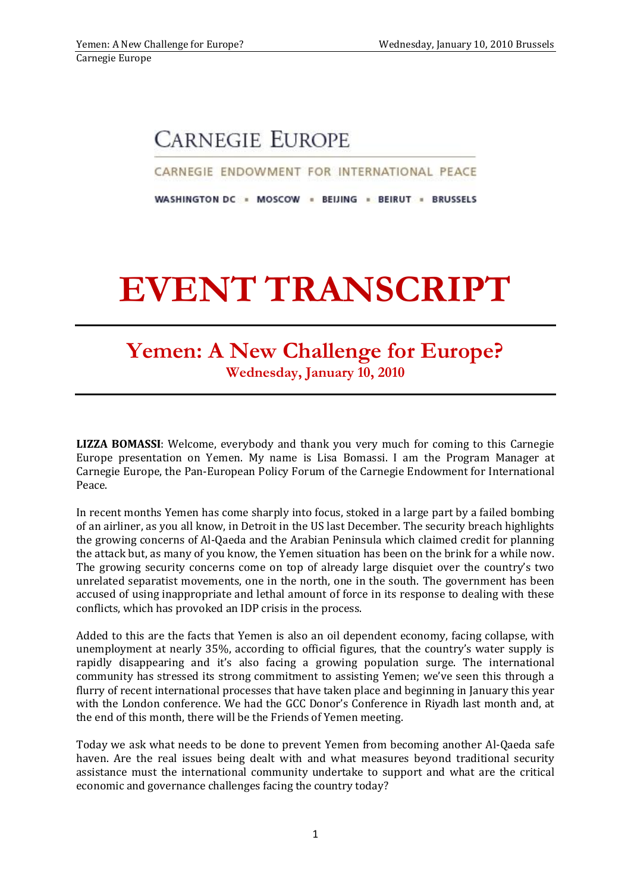## **CARNEGIE EUROPE**

CARNEGIE ENDOWMENT FOR INTERNATIONAL PEACE

WASHINGTON DC = MOSCOW = BEIJING = BEIRUT = BRUSSELS

## **EVENT TRANSCRIPT**

## **Yemen: A New Challenge for Europe? Wednesday, January 10, 2010**

**LIZZA BOMASSI**: Welcome, everybody and thank you very much for coming to this Carnegie Europe presentation on Yemen. My name is Lisa Bomassi. I am the Program Manager at Carnegie Europe, the Pan-European Policy Forum of the Carnegie Endowment for International Peace.

In recent months Yemen has come sharply into focus, stoked in a large part by a failed bombing of an airliner, as you all know, in Detroit in the US last December. The security breach highlights the growing concerns of Al-Qaeda and the Arabian Peninsula which claimed credit for planning the attack but, as many of you know, the Yemen situation has been on the brink for a while now. The growing security concerns come on top of already large disquiet over the country's two unrelated separatist movements, one in the north, one in the south. The government has been accused of using inappropriate and lethal amount of force in its response to dealing with these conflicts, which has provoked an IDP crisis in the process.

Added to this are the facts that Yemen is also an oil dependent economy, facing collapse, with unemployment at nearly 35%, according to official figures, that the country's water supply is rapidly disappearing and it's also facing a growing population surge. The international community has stressed its strong commitment to assisting Yemen; we've seen this through a flurry of recent international processes that have taken place and beginning in January this year with the London conference. We had the GCC Donor's Conference in Riyadh last month and, at the end of this month, there will be the Friends of Yemen meeting.

Today we ask what needs to be done to prevent Yemen from becoming another Al-Qaeda safe haven. Are the real issues being dealt with and what measures beyond traditional security assistance must the international community undertake to support and what are the critical economic and governance challenges facing the country today?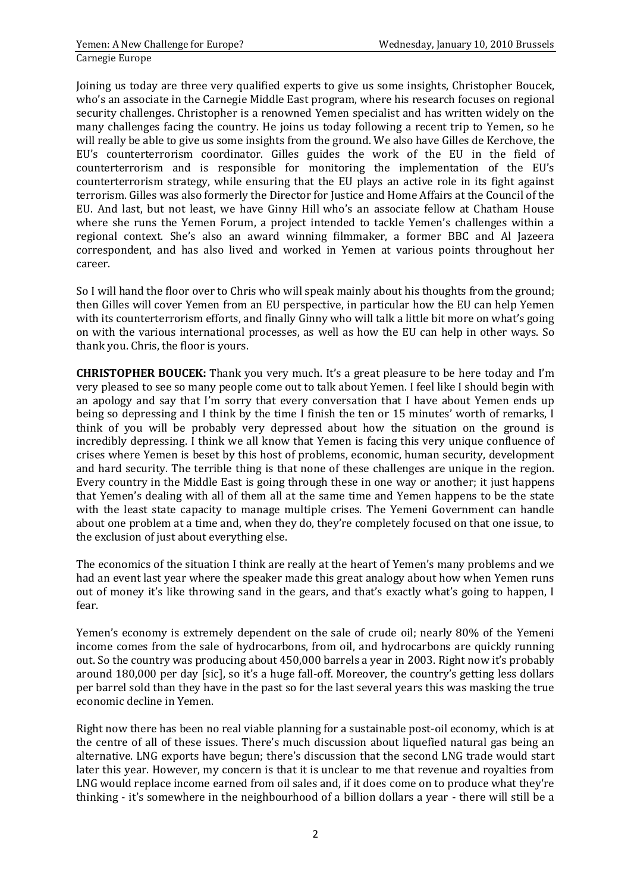Joining us today are three very qualified experts to give us some insights, Christopher Boucek, who's an associate in the Carnegie Middle East program, where his research focuses on regional security challenges. Christopher is a renowned Yemen specialist and has written widely on the many challenges facing the country. He joins us today following a recent trip to Yemen, so he will really be able to give us some insights from the ground. We also have Gilles de Kerchove, the EU's counterterrorism coordinator. Gilles guides the work of the EU in the field of counterterrorism and is responsible for monitoring the implementation of the EU's counterterrorism strategy, while ensuring that the EU plays an active role in its fight against terrorism. Gilles was also formerly the Director for Justice and Home Affairs at the Council of the EU. And last, but not least, we have Ginny Hill who's an associate fellow at Chatham House where she runs the Yemen Forum, a project intended to tackle Yemen's challenges within a regional context. She's also an award winning filmmaker, a former BBC and Al Jazeera correspondent, and has also lived and worked in Yemen at various points throughout her career.

So I will hand the floor over to Chris who will speak mainly about his thoughts from the ground; then Gilles will cover Yemen from an EU perspective, in particular how the EU can help Yemen with its counterterrorism efforts, and finally Ginny who will talk a little bit more on what's going on with the various international processes, as well as how the EU can help in other ways. So thank you. Chris, the floor is yours.

**CHRISTOPHER BOUCEK:** Thank you very much. It's a great pleasure to be here today and I'm very pleased to see so many people come out to talk about Yemen. I feel like I should begin with an apology and say that I'm sorry that every conversation that I have about Yemen ends up being so depressing and I think by the time I finish the ten or 15 minutes' worth of remarks, I think of you will be probably very depressed about how the situation on the ground is incredibly depressing. I think we all know that Yemen is facing this very unique confluence of crises where Yemen is beset by this host of problems, economic, human security, development and hard security. The terrible thing is that none of these challenges are unique in the region. Every country in the Middle East is going through these in one way or another; it just happens that Yemen's dealing with all of them all at the same time and Yemen happens to be the state with the least state capacity to manage multiple crises. The Yemeni Government can handle about one problem at a time and, when they do, they're completely focused on that one issue, to the exclusion of just about everything else.

The economics of the situation I think are really at the heart of Yemen's many problems and we had an event last year where the speaker made this great analogy about how when Yemen runs out of money it's like throwing sand in the gears, and that's exactly what's going to happen, I fear.

Yemen's economy is extremely dependent on the sale of crude oil; nearly 80% of the Yemeni income comes from the sale of hydrocarbons, from oil, and hydrocarbons are quickly running out. So the country was producing about 450,000 barrels a year in 2003. Right now it's probably around 180,000 per day [sic], so it's a huge fall-off. Moreover, the country's getting less dollars per barrel sold than they have in the past so for the last several years this was masking the true economic decline in Yemen.

Right now there has been no real viable planning for a sustainable post-oil economy, which is at the centre of all of these issues. There's much discussion about liquefied natural gas being an alternative. LNG exports have begun; there's discussion that the second LNG trade would start later this year. However, my concern is that it is unclear to me that revenue and royalties from LNG would replace income earned from oil sales and, if it does come on to produce what they're thinking - it's somewhere in the neighbourhood of a billion dollars a year - there will still be a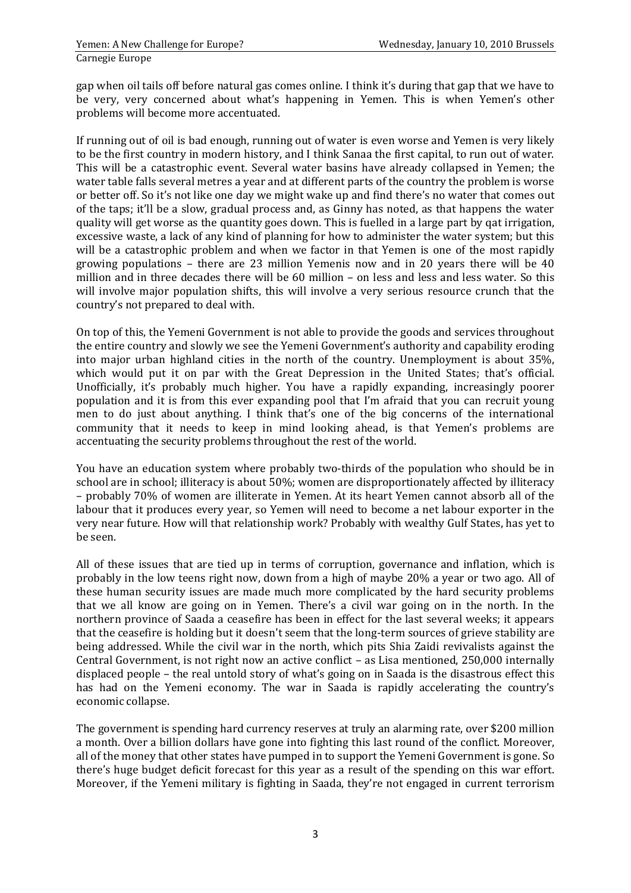gap when oil tails off before natural gas comes online. I think it's during that gap that we have to be very, very concerned about what's happening in Yemen. This is when Yemen's other problems will become more accentuated.

If running out of oil is bad enough, running out of water is even worse and Yemen is very likely to be the first country in modern history, and I think Sanaa the first capital, to run out of water. This will be a catastrophic event. Several water basins have already collapsed in Yemen; the water table falls several metres a year and at different parts of the country the problem is worse or better off. So it's not like one day we might wake up and find there's no water that comes out of the taps; it'll be a slow, gradual process and, as Ginny has noted, as that happens the water quality will get worse as the quantity goes down. This is fuelled in a large part by qat irrigation, excessive waste, a lack of any kind of planning for how to administer the water system; but this will be a catastrophic problem and when we factor in that Yemen is one of the most rapidly growing populations – there are 23 million Yemenis now and in 20 years there will be 40 million and in three decades there will be 60 million – on less and less and less water. So this will involve major population shifts, this will involve a very serious resource crunch that the country's not prepared to deal with.

On top of this, the Yemeni Government is not able to provide the goods and services throughout the entire country and slowly we see the Yemeni Government's authority and capability eroding into major urban highland cities in the north of the country. Unemployment is about 35%, which would put it on par with the Great Depression in the United States; that's official. Unofficially, it's probably much higher. You have a rapidly expanding, increasingly poorer population and it is from this ever expanding pool that I'm afraid that you can recruit young men to do just about anything. I think that's one of the big concerns of the international community that it needs to keep in mind looking ahead, is that Yemen's problems are accentuating the security problems throughout the rest of the world.

You have an education system where probably two-thirds of the population who should be in school are in school; illiteracy is about 50%; women are disproportionately affected by illiteracy – probably 70% of women are illiterate in Yemen. At its heart Yemen cannot absorb all of the labour that it produces every year, so Yemen will need to become a net labour exporter in the very near future. How will that relationship work? Probably with wealthy Gulf States, has yet to be seen.

All of these issues that are tied up in terms of corruption, governance and inflation, which is probably in the low teens right now, down from a high of maybe 20% a year or two ago. All of these human security issues are made much more complicated by the hard security problems that we all know are going on in Yemen. There's a civil war going on in the north. In the northern province of Saada a ceasefire has been in effect for the last several weeks; it appears that the ceasefire is holding but it doesn't seem that the long-term sources of grieve stability are being addressed. While the civil war in the north, which pits Shia Zaidi revivalists against the Central Government, is not right now an active conflict – as Lisa mentioned, 250,000 internally displaced people – the real untold story of what's going on in Saada is the disastrous effect this has had on the Yemeni economy. The war in Saada is rapidly accelerating the country's economic collapse.

The government is spending hard currency reserves at truly an alarming rate, over \$200 million a month. Over a billion dollars have gone into fighting this last round of the conflict. Moreover, all of the money that other states have pumped in to support the Yemeni Government is gone. So there's huge budget deficit forecast for this year as a result of the spending on this war effort. Moreover, if the Yemeni military is fighting in Saada, they're not engaged in current terrorism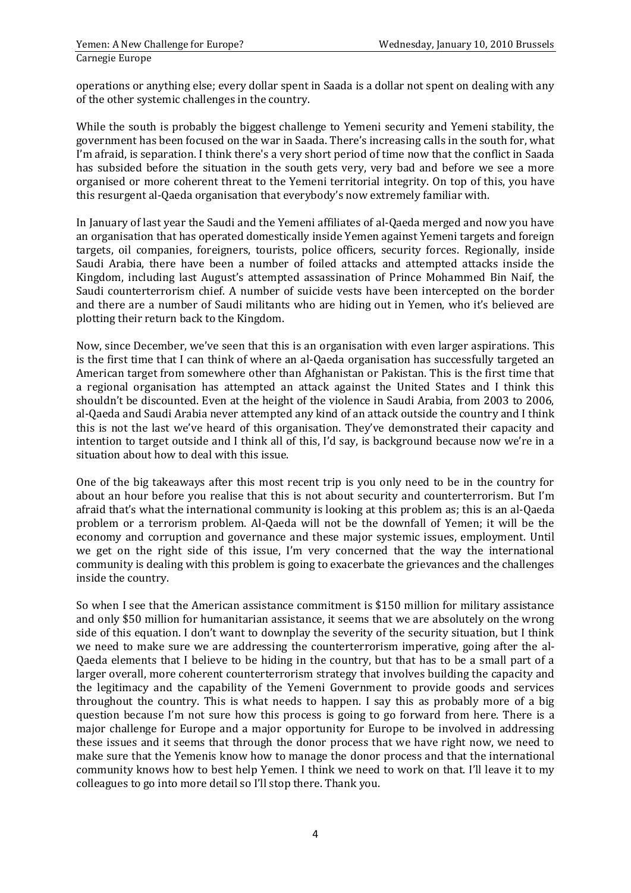operations or anything else; every dollar spent in Saada is a dollar not spent on dealing with any of the other systemic challenges in the country.

While the south is probably the biggest challenge to Yemeni security and Yemeni stability, the government has been focused on the war in Saada. There's increasing calls in the south for, what I'm afraid, is separation. I think there's a very short period of time now that the conflict in Saada has subsided before the situation in the south gets very, very bad and before we see a more organised or more coherent threat to the Yemeni territorial integrity. On top of this, you have this resurgent al-Qaeda organisation that everybody's now extremely familiar with.

In January of last year the Saudi and the Yemeni affiliates of al-Qaeda merged and now you have an organisation that has operated domestically inside Yemen against Yemeni targets and foreign targets, oil companies, foreigners, tourists, police officers, security forces. Regionally, inside Saudi Arabia, there have been a number of foiled attacks and attempted attacks inside the Kingdom, including last August's attempted assassination of Prince Mohammed Bin Naif, the Saudi counterterrorism chief. A number of suicide vests have been intercepted on the border and there are a number of Saudi militants who are hiding out in Yemen, who it's believed are plotting their return back to the Kingdom.

Now, since December, we've seen that this is an organisation with even larger aspirations. This is the first time that I can think of where an al-Qaeda organisation has successfully targeted an American target from somewhere other than Afghanistan or Pakistan. This is the first time that a regional organisation has attempted an attack against the United States and I think this shouldn't be discounted. Even at the height of the violence in Saudi Arabia, from 2003 to 2006, al-Qaeda and Saudi Arabia never attempted any kind of an attack outside the country and I think this is not the last we've heard of this organisation. They've demonstrated their capacity and intention to target outside and I think all of this, I'd say, is background because now we're in a situation about how to deal with this issue.

One of the big takeaways after this most recent trip is you only need to be in the country for about an hour before you realise that this is not about security and counterterrorism. But I'm afraid that's what the international community is looking at this problem as; this is an al-Qaeda problem or a terrorism problem. Al-Qaeda will not be the downfall of Yemen; it will be the economy and corruption and governance and these major systemic issues, employment. Until we get on the right side of this issue, I'm very concerned that the way the international community is dealing with this problem is going to exacerbate the grievances and the challenges inside the country.

So when I see that the American assistance commitment is \$150 million for military assistance and only \$50 million for humanitarian assistance, it seems that we are absolutely on the wrong side of this equation. I don't want to downplay the severity of the security situation, but I think we need to make sure we are addressing the counterterrorism imperative, going after the al-Qaeda elements that I believe to be hiding in the country, but that has to be a small part of a larger overall, more coherent counterterrorism strategy that involves building the capacity and the legitimacy and the capability of the Yemeni Government to provide goods and services throughout the country. This is what needs to happen. I say this as probably more of a big question because I'm not sure how this process is going to go forward from here. There is a major challenge for Europe and a major opportunity for Europe to be involved in addressing these issues and it seems that through the donor process that we have right now, we need to make sure that the Yemenis know how to manage the donor process and that the international community knows how to best help Yemen. I think we need to work on that. I'll leave it to my colleagues to go into more detail so I'll stop there. Thank you.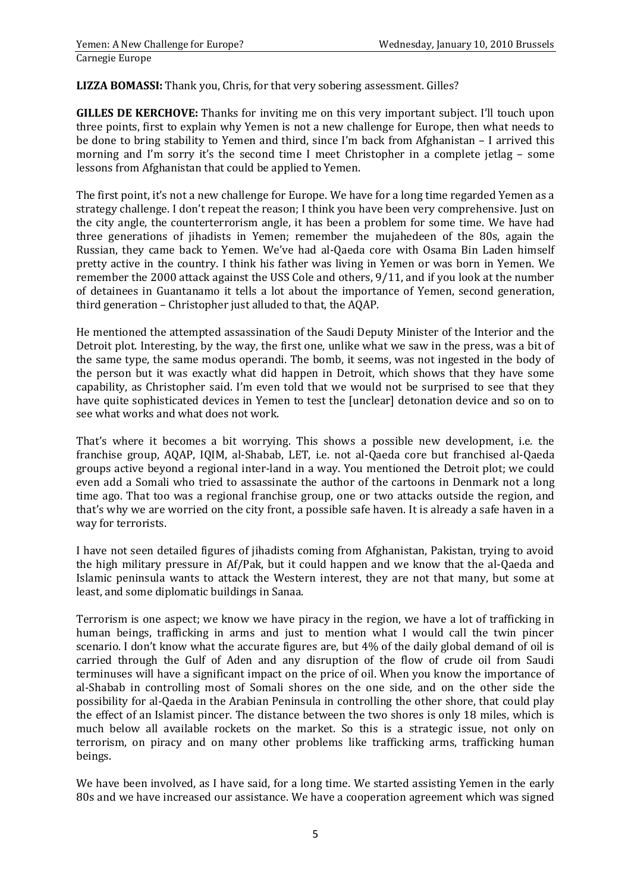**LIZZA BOMASSI:** Thank you, Chris, for that very sobering assessment. Gilles?

**GILLES DE KERCHOVE:** Thanks for inviting me on this very important subject. I'll touch upon three points, first to explain why Yemen is not a new challenge for Europe, then what needs to be done to bring stability to Yemen and third, since I'm back from Afghanistan – I arrived this morning and I'm sorry it's the second time I meet Christopher in a complete jetlag – some lessons from Afghanistan that could be applied to Yemen.

The first point, it's not a new challenge for Europe. We have for a long time regarded Yemen as a strategy challenge. I don't repeat the reason; I think you have been very comprehensive. Just on the city angle, the counterterrorism angle, it has been a problem for some time. We have had three generations of jihadists in Yemen; remember the mujahedeen of the 80s, again the Russian, they came back to Yemen. We've had al-Qaeda core with Osama Bin Laden himself pretty active in the country. I think his father was living in Yemen or was born in Yemen. We remember the 2000 attack against the USS Cole and others, 9/11, and if you look at the number of detainees in Guantanamo it tells a lot about the importance of Yemen, second generation, third generation – Christopher just alluded to that, the AQAP.

He mentioned the attempted assassination of the Saudi Deputy Minister of the Interior and the Detroit plot. Interesting, by the way, the first one, unlike what we saw in the press, was a bit of the same type, the same modus operandi. The bomb, it seems, was not ingested in the body of the person but it was exactly what did happen in Detroit, which shows that they have some capability, as Christopher said. I'm even told that we would not be surprised to see that they have quite sophisticated devices in Yemen to test the [unclear] detonation device and so on to see what works and what does not work.

That's where it becomes a bit worrying. This shows a possible new development, i.e. the franchise group, AQAP, IQIM, al-Shabab, LET, i.e. not al-Qaeda core but franchised al-Qaeda groups active beyond a regional inter-land in a way. You mentioned the Detroit plot; we could even add a Somali who tried to assassinate the author of the cartoons in Denmark not a long time ago. That too was a regional franchise group, one or two attacks outside the region, and that's why we are worried on the city front, a possible safe haven. It is already a safe haven in a way for terrorists.

I have not seen detailed figures of jihadists coming from Afghanistan, Pakistan, trying to avoid the high military pressure in Af/Pak, but it could happen and we know that the al-Qaeda and Islamic peninsula wants to attack the Western interest, they are not that many, but some at least, and some diplomatic buildings in Sanaa.

Terrorism is one aspect; we know we have piracy in the region, we have a lot of trafficking in human beings, trafficking in arms and just to mention what I would call the twin pincer scenario. I don't know what the accurate figures are, but 4% of the daily global demand of oil is carried through the Gulf of Aden and any disruption of the flow of crude oil from Saudi terminuses will have a significant impact on the price of oil. When you know the importance of al-Shabab in controlling most of Somali shores on the one side, and on the other side the possibility for al-Qaeda in the Arabian Peninsula in controlling the other shore, that could play the effect of an Islamist pincer. The distance between the two shores is only 18 miles, which is much below all available rockets on the market. So this is a strategic issue, not only on terrorism, on piracy and on many other problems like trafficking arms, trafficking human beings.

We have been involved, as I have said, for a long time. We started assisting Yemen in the early 80s and we have increased our assistance. We have a cooperation agreement which was signed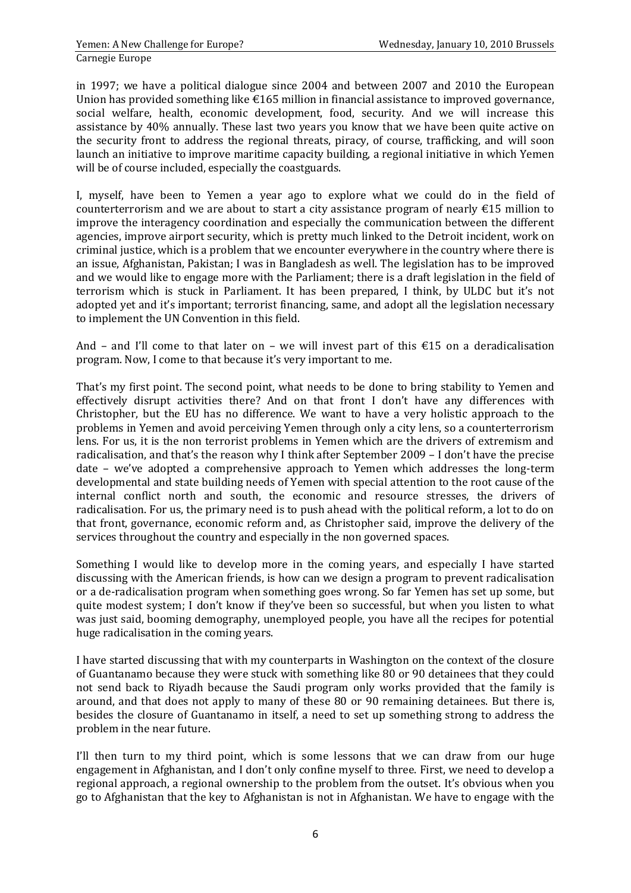in 1997; we have a political dialogue since 2004 and between 2007 and 2010 the European Union has provided something like  $\epsilon$ 165 million in financial assistance to improved governance, social welfare, health, economic development, food, security. And we will increase this assistance by 40% annually. These last two years you know that we have been quite active on the security front to address the regional threats, piracy, of course, trafficking, and will soon launch an initiative to improve maritime capacity building, a regional initiative in which Yemen will be of course included, especially the coastguards.

I, myself, have been to Yemen a year ago to explore what we could do in the field of counterterrorism and we are about to start a city assistance program of nearly €15 million to improve the interagency coordination and especially the communication between the different agencies, improve airport security, which is pretty much linked to the Detroit incident, work on criminal justice, which is a problem that we encounter everywhere in the country where there is an issue, Afghanistan, Pakistan; I was in Bangladesh as well. The legislation has to be improved and we would like to engage more with the Parliament; there is a draft legislation in the field of terrorism which is stuck in Parliament. It has been prepared, I think, by ULDC but it's not adopted yet and it's important; terrorist financing, same, and adopt all the legislation necessary to implement the UN Convention in this field.

And – and I'll come to that later on – we will invest part of this  $£15$  on a deradicalisation program. Now, I come to that because it's very important to me.

That's my first point. The second point, what needs to be done to bring stability to Yemen and effectively disrupt activities there? And on that front I don't have any differences with Christopher, but the EU has no difference. We want to have a very holistic approach to the problems in Yemen and avoid perceiving Yemen through only a city lens, so a counterterrorism lens. For us, it is the non terrorist problems in Yemen which are the drivers of extremism and radicalisation, and that's the reason why I think after September 2009 – I don't have the precise date – we've adopted a comprehensive approach to Yemen which addresses the long-term developmental and state building needs of Yemen with special attention to the root cause of the internal conflict north and south, the economic and resource stresses, the drivers of radicalisation. For us, the primary need is to push ahead with the political reform, a lot to do on that front, governance, economic reform and, as Christopher said, improve the delivery of the services throughout the country and especially in the non governed spaces.

Something I would like to develop more in the coming years, and especially I have started discussing with the American friends, is how can we design a program to prevent radicalisation or a de-radicalisation program when something goes wrong. So far Yemen has set up some, but quite modest system; I don't know if they've been so successful, but when you listen to what was just said, booming demography, unemployed people, you have all the recipes for potential huge radicalisation in the coming years.

I have started discussing that with my counterparts in Washington on the context of the closure of Guantanamo because they were stuck with something like 80 or 90 detainees that they could not send back to Riyadh because the Saudi program only works provided that the family is around, and that does not apply to many of these 80 or 90 remaining detainees. But there is, besides the closure of Guantanamo in itself, a need to set up something strong to address the problem in the near future.

I'll then turn to my third point, which is some lessons that we can draw from our huge engagement in Afghanistan, and I don't only confine myself to three. First, we need to develop a regional approach, a regional ownership to the problem from the outset. It's obvious when you go to Afghanistan that the key to Afghanistan is not in Afghanistan. We have to engage with the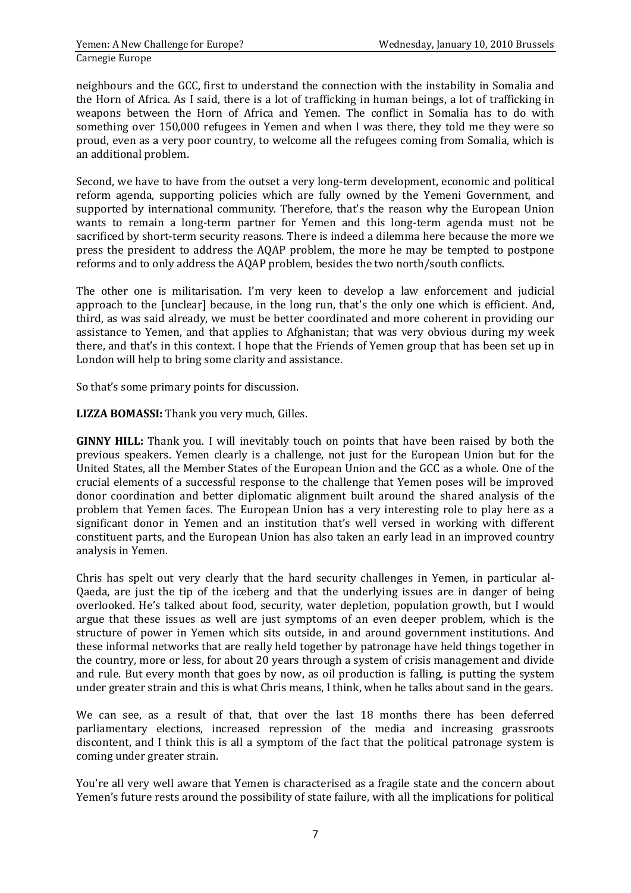neighbours and the GCC, first to understand the connection with the instability in Somalia and the Horn of Africa. As I said, there is a lot of trafficking in human beings, a lot of trafficking in weapons between the Horn of Africa and Yemen. The conflict in Somalia has to do with something over 150,000 refugees in Yemen and when I was there, they told me they were so proud, even as a very poor country, to welcome all the refugees coming from Somalia, which is an additional problem.

Second, we have to have from the outset a very long-term development, economic and political reform agenda, supporting policies which are fully owned by the Yemeni Government, and supported by international community. Therefore, that's the reason why the European Union wants to remain a long-term partner for Yemen and this long-term agenda must not be sacrificed by short-term security reasons. There is indeed a dilemma here because the more we press the president to address the AQAP problem, the more he may be tempted to postpone reforms and to only address the AQAP problem, besides the two north/south conflicts.

The other one is militarisation. I'm very keen to develop a law enforcement and judicial approach to the [unclear] because, in the long run, that's the only one which is efficient. And, third, as was said already, we must be better coordinated and more coherent in providing our assistance to Yemen, and that applies to Afghanistan; that was very obvious during my week there, and that's in this context. I hope that the Friends of Yemen group that has been set up in London will help to bring some clarity and assistance.

So that's some primary points for discussion.

**LIZZA BOMASSI:** Thank you very much, Gilles.

**GINNY HILL:** Thank you. I will inevitably touch on points that have been raised by both the previous speakers. Yemen clearly is a challenge, not just for the European Union but for the United States, all the Member States of the European Union and the GCC as a whole. One of the crucial elements of a successful response to the challenge that Yemen poses will be improved donor coordination and better diplomatic alignment built around the shared analysis of the problem that Yemen faces. The European Union has a very interesting role to play here as a significant donor in Yemen and an institution that's well versed in working with different constituent parts, and the European Union has also taken an early lead in an improved country analysis in Yemen.

Chris has spelt out very clearly that the hard security challenges in Yemen, in particular al-Qaeda, are just the tip of the iceberg and that the underlying issues are in danger of being overlooked. He's talked about food, security, water depletion, population growth, but I would argue that these issues as well are just symptoms of an even deeper problem, which is the structure of power in Yemen which sits outside, in and around government institutions. And these informal networks that are really held together by patronage have held things together in the country, more or less, for about 20 years through a system of crisis management and divide and rule. But every month that goes by now, as oil production is falling, is putting the system under greater strain and this is what Chris means, I think, when he talks about sand in the gears.

We can see, as a result of that, that over the last 18 months there has been deferred parliamentary elections, increased repression of the media and increasing grassroots discontent, and I think this is all a symptom of the fact that the political patronage system is coming under greater strain.

You're all very well aware that Yemen is characterised as a fragile state and the concern about Yemen's future rests around the possibility of state failure, with all the implications for political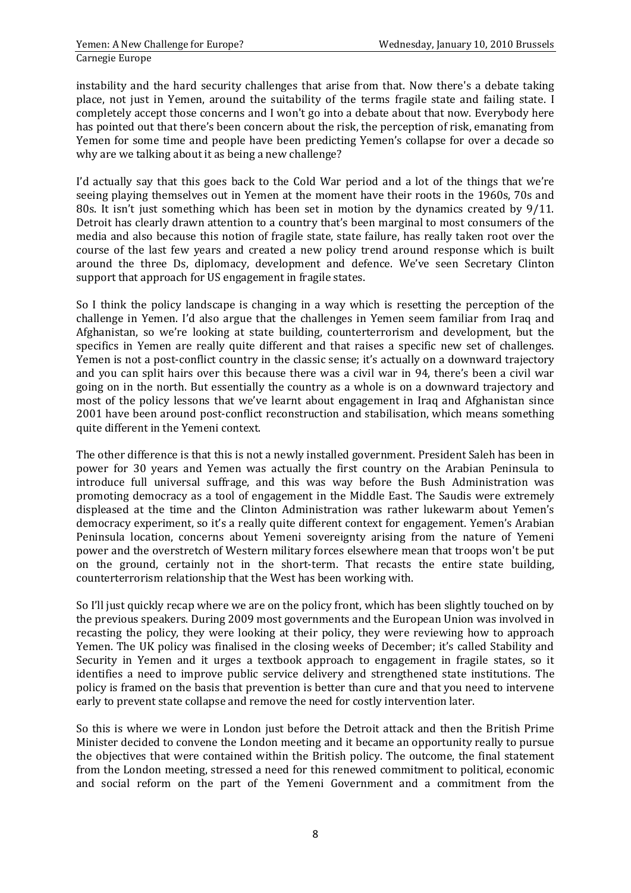instability and the hard security challenges that arise from that. Now there's a debate taking place, not just in Yemen, around the suitability of the terms fragile state and failing state. I completely accept those concerns and I won't go into a debate about that now. Everybody here has pointed out that there's been concern about the risk, the perception of risk, emanating from Yemen for some time and people have been predicting Yemen's collapse for over a decade so why are we talking about it as being a new challenge?

I'd actually say that this goes back to the Cold War period and a lot of the things that we're seeing playing themselves out in Yemen at the moment have their roots in the 1960s, 70s and 80s. It isn't just something which has been set in motion by the dynamics created by 9/11. Detroit has clearly drawn attention to a country that's been marginal to most consumers of the media and also because this notion of fragile state, state failure, has really taken root over the course of the last few years and created a new policy trend around response which is built around the three Ds, diplomacy, development and defence. We've seen Secretary Clinton support that approach for US engagement in fragile states.

So I think the policy landscape is changing in a way which is resetting the perception of the challenge in Yemen. I'd also argue that the challenges in Yemen seem familiar from Iraq and Afghanistan, so we're looking at state building, counterterrorism and development, but the specifics in Yemen are really quite different and that raises a specific new set of challenges. Yemen is not a post-conflict country in the classic sense; it's actually on a downward trajectory and you can split hairs over this because there was a civil war in 94, there's been a civil war going on in the north. But essentially the country as a whole is on a downward trajectory and most of the policy lessons that we've learnt about engagement in Iraq and Afghanistan since 2001 have been around post-conflict reconstruction and stabilisation, which means something quite different in the Yemeni context.

The other difference is that this is not a newly installed government. President Saleh has been in power for 30 years and Yemen was actually the first country on the Arabian Peninsula to introduce full universal suffrage, and this was way before the Bush Administration was promoting democracy as a tool of engagement in the Middle East. The Saudis were extremely displeased at the time and the Clinton Administration was rather lukewarm about Yemen's democracy experiment, so it's a really quite different context for engagement. Yemen's Arabian Peninsula location, concerns about Yemeni sovereignty arising from the nature of Yemeni power and the overstretch of Western military forces elsewhere mean that troops won't be put on the ground, certainly not in the short-term. That recasts the entire state building, counterterrorism relationship that the West has been working with.

So I'll just quickly recap where we are on the policy front, which has been slightly touched on by the previous speakers. During 2009 most governments and the European Union was involved in recasting the policy, they were looking at their policy, they were reviewing how to approach Yemen. The UK policy was finalised in the closing weeks of December; it's called Stability and Security in Yemen and it urges a textbook approach to engagement in fragile states, so it identifies a need to improve public service delivery and strengthened state institutions. The policy is framed on the basis that prevention is better than cure and that you need to intervene early to prevent state collapse and remove the need for costly intervention later.

So this is where we were in London just before the Detroit attack and then the British Prime Minister decided to convene the London meeting and it became an opportunity really to pursue the objectives that were contained within the British policy. The outcome, the final statement from the London meeting, stressed a need for this renewed commitment to political, economic and social reform on the part of the Yemeni Government and a commitment from the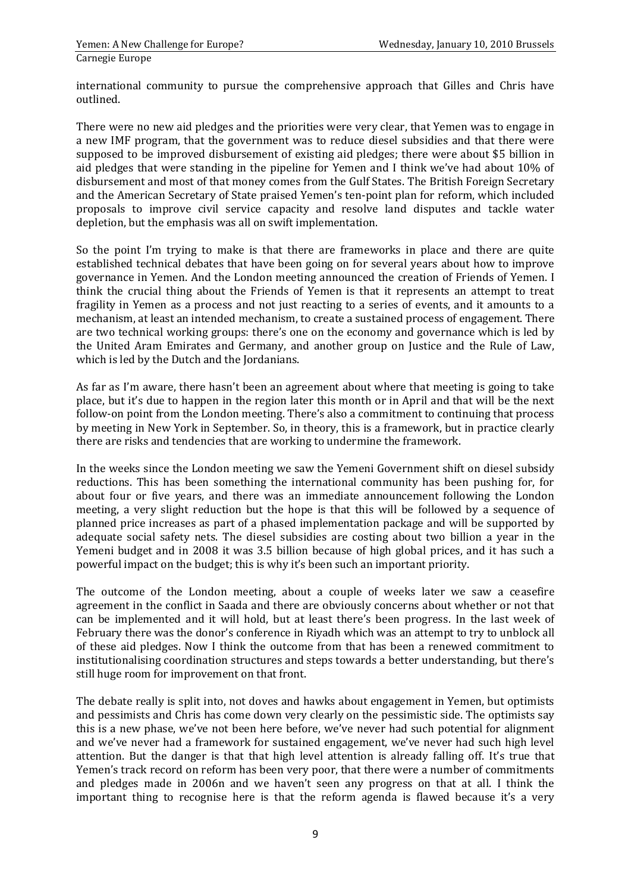international community to pursue the comprehensive approach that Gilles and Chris have outlined.

There were no new aid pledges and the priorities were very clear, that Yemen was to engage in a new IMF program, that the government was to reduce diesel subsidies and that there were supposed to be improved disbursement of existing aid pledges; there were about \$5 billion in aid pledges that were standing in the pipeline for Yemen and I think we've had about 10% of disbursement and most of that money comes from the Gulf States. The British Foreign Secretary and the American Secretary of State praised Yemen's ten-point plan for reform, which included proposals to improve civil service capacity and resolve land disputes and tackle water depletion, but the emphasis was all on swift implementation.

So the point I'm trying to make is that there are frameworks in place and there are quite established technical debates that have been going on for several years about how to improve governance in Yemen. And the London meeting announced the creation of Friends of Yemen. I think the crucial thing about the Friends of Yemen is that it represents an attempt to treat fragility in Yemen as a process and not just reacting to a series of events, and it amounts to a mechanism, at least an intended mechanism, to create a sustained process of engagement. There are two technical working groups: there's one on the economy and governance which is led by the United Aram Emirates and Germany, and another group on Justice and the Rule of Law, which is led by the Dutch and the Jordanians.

As far as I'm aware, there hasn't been an agreement about where that meeting is going to take place, but it's due to happen in the region later this month or in April and that will be the next follow-on point from the London meeting. There's also a commitment to continuing that process by meeting in New York in September. So, in theory, this is a framework, but in practice clearly there are risks and tendencies that are working to undermine the framework.

In the weeks since the London meeting we saw the Yemeni Government shift on diesel subsidy reductions. This has been something the international community has been pushing for, for about four or five years, and there was an immediate announcement following the London meeting, a very slight reduction but the hope is that this will be followed by a sequence of planned price increases as part of a phased implementation package and will be supported by adequate social safety nets. The diesel subsidies are costing about two billion a year in the Yemeni budget and in 2008 it was 3.5 billion because of high global prices, and it has such a powerful impact on the budget; this is why it's been such an important priority.

The outcome of the London meeting, about a couple of weeks later we saw a ceasefire agreement in the conflict in Saada and there are obviously concerns about whether or not that can be implemented and it will hold, but at least there's been progress. In the last week of February there was the donor's conference in Riyadh which was an attempt to try to unblock all of these aid pledges. Now I think the outcome from that has been a renewed commitment to institutionalising coordination structures and steps towards a better understanding, but there's still huge room for improvement on that front.

The debate really is split into, not doves and hawks about engagement in Yemen, but optimists and pessimists and Chris has come down very clearly on the pessimistic side. The optimists say this is a new phase, we've not been here before, we've never had such potential for alignment and we've never had a framework for sustained engagement, we've never had such high level attention. But the danger is that that high level attention is already falling off. It's true that Yemen's track record on reform has been very poor, that there were a number of commitments and pledges made in 2006n and we haven't seen any progress on that at all. I think the important thing to recognise here is that the reform agenda is flawed because it's a very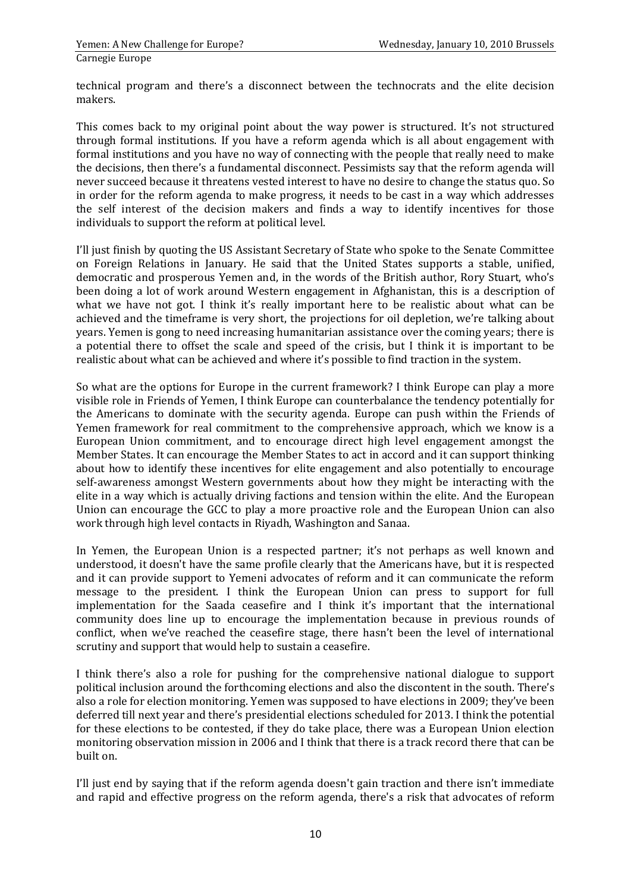technical program and there's a disconnect between the technocrats and the elite decision makers.

This comes back to my original point about the way power is structured. It's not structured through formal institutions. If you have a reform agenda which is all about engagement with formal institutions and you have no way of connecting with the people that really need to make the decisions, then there's a fundamental disconnect. Pessimists say that the reform agenda will never succeed because it threatens vested interest to have no desire to change the status quo. So in order for the reform agenda to make progress, it needs to be cast in a way which addresses the self interest of the decision makers and finds a way to identify incentives for those individuals to support the reform at political level.

I'll just finish by quoting the US Assistant Secretary of State who spoke to the Senate Committee on Foreign Relations in January. He said that the United States supports a stable, unified, democratic and prosperous Yemen and, in the words of the British author, Rory Stuart, who's been doing a lot of work around Western engagement in Afghanistan, this is a description of what we have not got. I think it's really important here to be realistic about what can be achieved and the timeframe is very short, the projections for oil depletion, we're talking about years. Yemen is gong to need increasing humanitarian assistance over the coming years; there is a potential there to offset the scale and speed of the crisis, but I think it is important to be realistic about what can be achieved and where it's possible to find traction in the system.

So what are the options for Europe in the current framework? I think Europe can play a more visible role in Friends of Yemen, I think Europe can counterbalance the tendency potentially for the Americans to dominate with the security agenda. Europe can push within the Friends of Yemen framework for real commitment to the comprehensive approach, which we know is a European Union commitment, and to encourage direct high level engagement amongst the Member States. It can encourage the Member States to act in accord and it can support thinking about how to identify these incentives for elite engagement and also potentially to encourage self-awareness amongst Western governments about how they might be interacting with the elite in a way which is actually driving factions and tension within the elite. And the European Union can encourage the GCC to play a more proactive role and the European Union can also work through high level contacts in Riyadh, Washington and Sanaa.

In Yemen, the European Union is a respected partner; it's not perhaps as well known and understood, it doesn't have the same profile clearly that the Americans have, but it is respected and it can provide support to Yemeni advocates of reform and it can communicate the reform message to the president. I think the European Union can press to support for full implementation for the Saada ceasefire and I think it's important that the international community does line up to encourage the implementation because in previous rounds of conflict, when we've reached the ceasefire stage, there hasn't been the level of international scrutiny and support that would help to sustain a ceasefire.

I think there's also a role for pushing for the comprehensive national dialogue to support political inclusion around the forthcoming elections and also the discontent in the south. There's also a role for election monitoring. Yemen was supposed to have elections in 2009; they've been deferred till next year and there's presidential elections scheduled for 2013. I think the potential for these elections to be contested, if they do take place, there was a European Union election monitoring observation mission in 2006 and I think that there is a track record there that can be built on.

I'll just end by saying that if the reform agenda doesn't gain traction and there isn't immediate and rapid and effective progress on the reform agenda, there's a risk that advocates of reform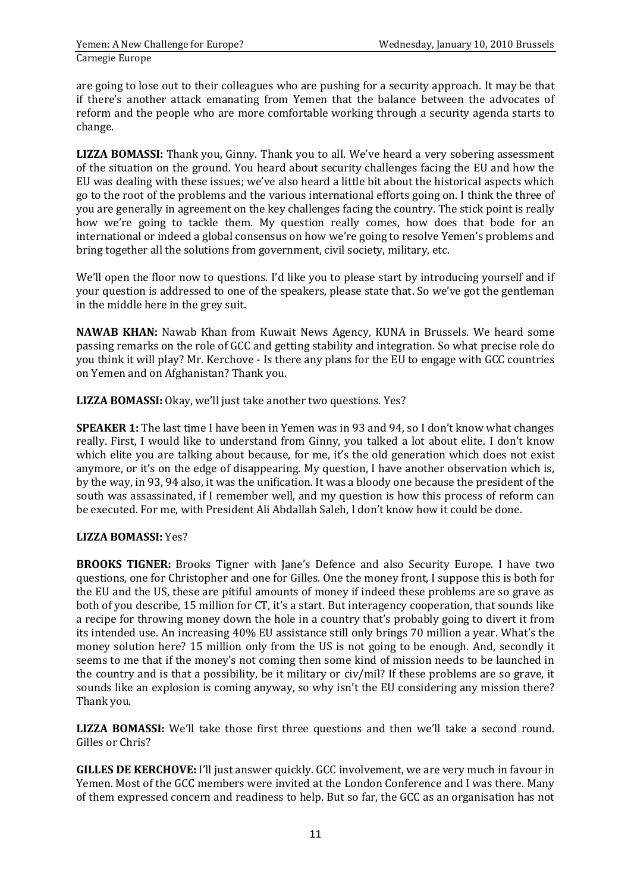are going to lose out to their colleagues who are pushing for a security approach. It may be that if there's another attack emanating from Yemen that the balance between the advocates of reform and the people who are more comfortable working through a security agenda starts to change.

**LIZZA BOMASSI:** Thank you, Ginny. Thank you to all. We've heard a very sobering assessment of the situation on the ground. You heard about security challenges facing the EU and how the EU was dealing with these issues; we've also heard a little bit about the historical aspects which go to the root of the problems and the various international efforts going on. I think the three of you are generally in agreement on the key challenges facing the country. The stick point is really how we're going to tackle them. My question really comes, how does that bode for an international or indeed a global consensus on how we're going to resolve Yemen's problems and bring together all the solutions from government, civil society, military, etc.

We'll open the floor now to questions. I'd like you to please start by introducing yourself and if your question is addressed to one of the speakers, please state that. So we've got the gentleman in the middle here in the grey suit.

**NAWAB KHAN:** Nawab Khan from Kuwait News Agency, KUNA in Brussels. We heard some passing remarks on the role of GCC and getting stability and integration. So what precise role do you think it will play? Mr. Kerchove - Is there any plans for the EU to engage with GCC countries on Yemen and on Afghanistan? Thank you.

**LIZZA BOMASSI:** Okay, we'll just take another two questions. Yes?

**SPEAKER 1:** The last time I have been in Yemen was in 93 and 94, so I don't know what changes really. First, I would like to understand from Ginny, you talked a lot about elite. I don't know which elite you are talking about because, for me, it's the old generation which does not exist anymore, or it's on the edge of disappearing. My question, I have another observation which is, by the way, in 93, 94 also, it was the unification. It was a bloody one because the president of the south was assassinated, if I remember well, and my question is how this process of reform can be executed. For me, with President Ali Abdallah Saleh, I don't know how it could be done.

## **LIZZA BOMASSI:** Yes?

**BROOKS TIGNER:** Brooks Tigner with Jane's Defence and also Security Europe. I have two questions, one for Christopher and one for Gilles. One the money front, I suppose this is both for the EU and the US, these are pitiful amounts of money if indeed these problems are so grave as both of you describe, 15 million for CT, it's a start. But interagency cooperation, that sounds like a recipe for throwing money down the hole in a country that's probably going to divert it from its intended use. An increasing 40% EU assistance still only brings 70 million a year. What's the money solution here? 15 million only from the US is not going to be enough. And, secondly it seems to me that if the money's not coming then some kind of mission needs to be launched in the country and is that a possibility, be it military or civ/mil? If these problems are so grave, it sounds like an explosion is coming anyway, so why isn't the EU considering any mission there? Thank you.

**LIZZA BOMASSI:** We'll take those first three questions and then we'll take a second round. Gilles or Chris?

**GILLES DE KERCHOVE:** I'll just answer quickly. GCC involvement, we are very much in favour in Yemen. Most of the GCC members were invited at the London Conference and I was there. Many of them expressed concern and readiness to help. But so far, the GCC as an organisation has not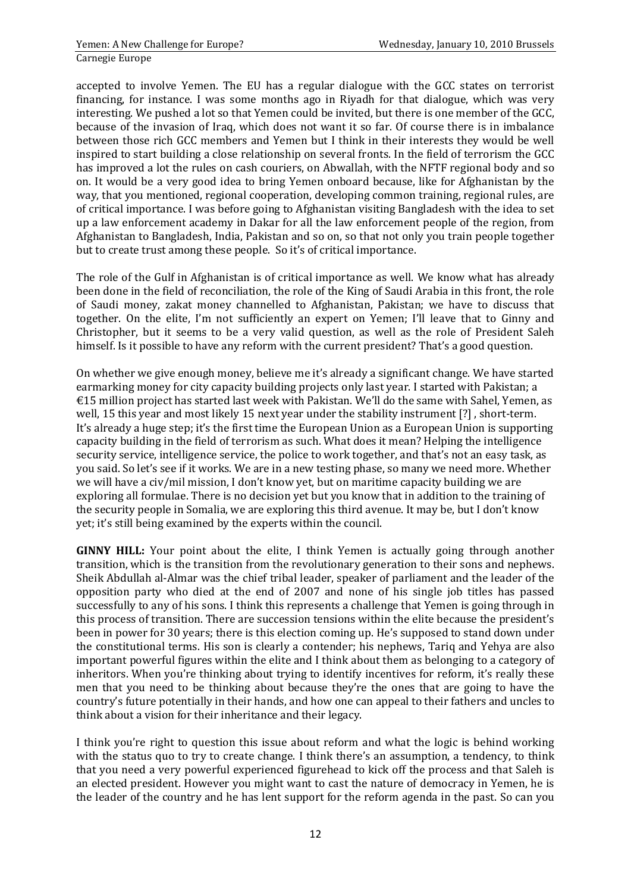accepted to involve Yemen. The EU has a regular dialogue with the GCC states on terrorist financing, for instance. I was some months ago in Riyadh for that dialogue, which was very interesting. We pushed a lot so that Yemen could be invited, but there is one member of the GCC, because of the invasion of Iraq, which does not want it so far. Of course there is in imbalance between those rich GCC members and Yemen but I think in their interests they would be well inspired to start building a close relationship on several fronts. In the field of terrorism the GCC has improved a lot the rules on cash couriers, on Abwallah, with the NFTF regional body and so on. It would be a very good idea to bring Yemen onboard because, like for Afghanistan by the way, that you mentioned, regional cooperation, developing common training, regional rules, are of critical importance. I was before going to Afghanistan visiting Bangladesh with the idea to set up a law enforcement academy in Dakar for all the law enforcement people of the region, from Afghanistan to Bangladesh, India, Pakistan and so on, so that not only you train people together but to create trust among these people. So it's of critical importance.

The role of the Gulf in Afghanistan is of critical importance as well. We know what has already been done in the field of reconciliation, the role of the King of Saudi Arabia in this front, the role of Saudi money, zakat money channelled to Afghanistan, Pakistan; we have to discuss that together. On the elite, I'm not sufficiently an expert on Yemen; I'll leave that to Ginny and Christopher, but it seems to be a very valid question, as well as the role of President Saleh himself. Is it possible to have any reform with the current president? That's a good question.

On whether we give enough money, believe me it's already a significant change. We have started earmarking money for city capacity building projects only last year. I started with Pakistan; a €15 million project has started last week with Pakistan. We'll do the same with Sahel, Yemen, as well, 15 this year and most likely 15 next year under the stability instrument [?] , short-term. It's already a huge step; it's the first time the European Union as a European Union is supporting capacity building in the field of terrorism as such. What does it mean? Helping the intelligence security service, intelligence service, the police to work together, and that's not an easy task, as you said. So let's see if it works. We are in a new testing phase, so many we need more. Whether we will have a civ/mil mission, I don't know yet, but on maritime capacity building we are exploring all formulae. There is no decision yet but you know that in addition to the training of the security people in Somalia, we are exploring this third avenue. It may be, but I don't know yet; it's still being examined by the experts within the council.

**GINNY HILL:** Your point about the elite, I think Yemen is actually going through another transition, which is the transition from the revolutionary generation to their sons and nephews. Sheik Abdullah al-Almar was the chief tribal leader, speaker of parliament and the leader of the opposition party who died at the end of 2007 and none of his single job titles has passed successfully to any of his sons. I think this represents a challenge that Yemen is going through in this process of transition. There are succession tensions within the elite because the president's been in power for 30 years; there is this election coming up. He's supposed to stand down under the constitutional terms. His son is clearly a contender; his nephews, Tariq and Yehya are also important powerful figures within the elite and I think about them as belonging to a category of inheritors. When you're thinking about trying to identify incentives for reform, it's really these men that you need to be thinking about because they're the ones that are going to have the country's future potentially in their hands, and how one can appeal to their fathers and uncles to think about a vision for their inheritance and their legacy.

I think you're right to question this issue about reform and what the logic is behind working with the status quo to try to create change. I think there's an assumption, a tendency, to think that you need a very powerful experienced figurehead to kick off the process and that Saleh is an elected president. However you might want to cast the nature of democracy in Yemen, he is the leader of the country and he has lent support for the reform agenda in the past. So can you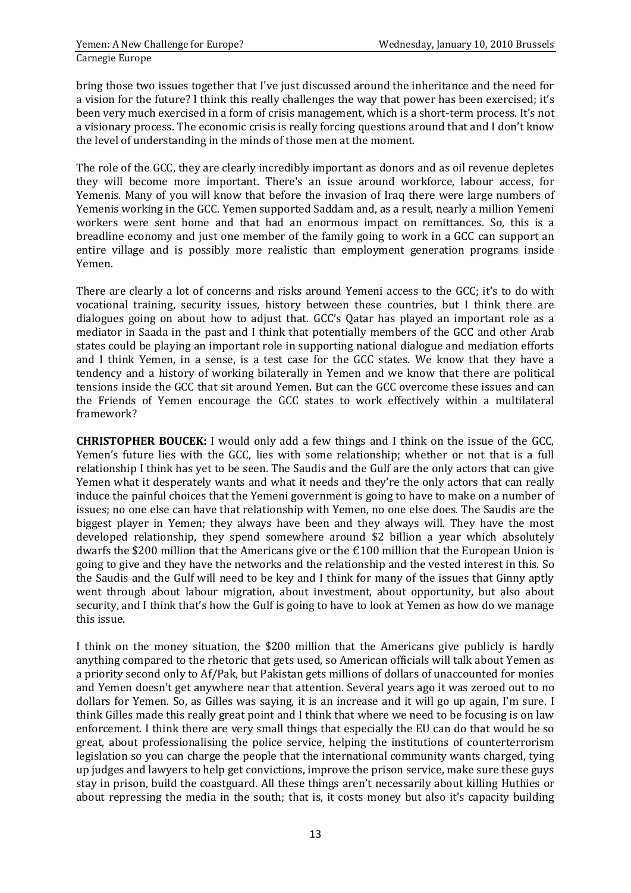bring those two issues together that I've just discussed around the inheritance and the need for a vision for the future? I think this really challenges the way that power has been exercised; it's been very much exercised in a form of crisis management, which is a short-term process. It's not a visionary process. The economic crisis is really forcing questions around that and I don't know the level of understanding in the minds of those men at the moment.

The role of the GCC, they are clearly incredibly important as donors and as oil revenue depletes they will become more important. There's an issue around workforce, labour access, for Yemenis. Many of you will know that before the invasion of Iraq there were large numbers of Yemenis working in the GCC. Yemen supported Saddam and, as a result, nearly a million Yemeni workers were sent home and that had an enormous impact on remittances. So, this is a breadline economy and just one member of the family going to work in a GCC can support an entire village and is possibly more realistic than employment generation programs inside Yemen.

There are clearly a lot of concerns and risks around Yemeni access to the GCC; it's to do with vocational training, security issues, history between these countries, but I think there are dialogues going on about how to adjust that. GCC's Qatar has played an important role as a mediator in Saada in the past and I think that potentially members of the GCC and other Arab states could be playing an important role in supporting national dialogue and mediation efforts and I think Yemen, in a sense, is a test case for the GCC states. We know that they have a tendency and a history of working bilaterally in Yemen and we know that there are political tensions inside the GCC that sit around Yemen. But can the GCC overcome these issues and can the Friends of Yemen encourage the GCC states to work effectively within a multilateral framework?

**CHRISTOPHER BOUCEK:** I would only add a few things and I think on the issue of the GCC, Yemen's future lies with the GCC, lies with some relationship; whether or not that is a full relationship I think has yet to be seen. The Saudis and the Gulf are the only actors that can give Yemen what it desperately wants and what it needs and they're the only actors that can really induce the painful choices that the Yemeni government is going to have to make on a number of issues; no one else can have that relationship with Yemen, no one else does. The Saudis are the biggest player in Yemen; they always have been and they always will. They have the most developed relationship, they spend somewhere around \$2 billion a year which absolutely dwarfs the \$200 million that the Americans give or the €100 million that the European Union is going to give and they have the networks and the relationship and the vested interest in this. So the Saudis and the Gulf will need to be key and I think for many of the issues that Ginny aptly went through about labour migration, about investment, about opportunity, but also about security, and I think that's how the Gulf is going to have to look at Yemen as how do we manage this issue.

I think on the money situation, the \$200 million that the Americans give publicly is hardly anything compared to the rhetoric that gets used, so American officials will talk about Yemen as a priority second only to Af/Pak, but Pakistan gets millions of dollars of unaccounted for monies and Yemen doesn't get anywhere near that attention. Several years ago it was zeroed out to no dollars for Yemen. So, as Gilles was saying, it is an increase and it will go up again, I'm sure. I think Gilles made this really great point and I think that where we need to be focusing is on law enforcement. I think there are very small things that especially the EU can do that would be so great, about professionalising the police service, helping the institutions of counterterrorism legislation so you can charge the people that the international community wants charged, tying up judges and lawyers to help get convictions, improve the prison service, make sure these guys stay in prison, build the coastguard. All these things aren't necessarily about killing Huthies or about repressing the media in the south; that is, it costs money but also it's capacity building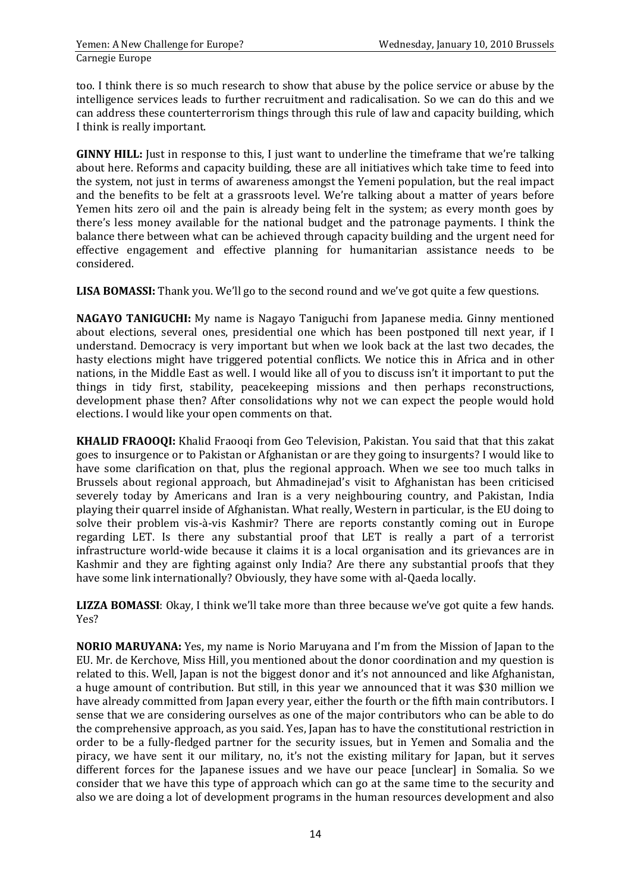too. I think there is so much research to show that abuse by the police service or abuse by the intelligence services leads to further recruitment and radicalisation. So we can do this and we can address these counterterrorism things through this rule of law and capacity building, which I think is really important.

**GINNY HILL:** Just in response to this, I just want to underline the timeframe that we're talking about here. Reforms and capacity building, these are all initiatives which take time to feed into the system, not just in terms of awareness amongst the Yemeni population, but the real impact and the benefits to be felt at a grassroots level. We're talking about a matter of years before Yemen hits zero oil and the pain is already being felt in the system; as every month goes by there's less money available for the national budget and the patronage payments. I think the balance there between what can be achieved through capacity building and the urgent need for effective engagement and effective planning for humanitarian assistance needs to be considered.

**LISA BOMASSI:** Thank you. We'll go to the second round and we've got quite a few questions.

**NAGAYO TANIGUCHI:** My name is Nagayo Taniguchi from Japanese media. Ginny mentioned about elections, several ones, presidential one which has been postponed till next year, if I understand. Democracy is very important but when we look back at the last two decades, the hasty elections might have triggered potential conflicts. We notice this in Africa and in other nations, in the Middle East as well. I would like all of you to discuss isn't it important to put the things in tidy first, stability, peacekeeping missions and then perhaps reconstructions, development phase then? After consolidations why not we can expect the people would hold elections. I would like your open comments on that.

**KHALID FRAOOQI:** Khalid Fraooqi from Geo Television, Pakistan. You said that that this zakat goes to insurgence or to Pakistan or Afghanistan or are they going to insurgents? I would like to have some clarification on that, plus the regional approach. When we see too much talks in Brussels about regional approach, but Ahmadinejad's visit to Afghanistan has been criticised severely today by Americans and Iran is a very neighbouring country, and Pakistan, India playing their quarrel inside of Afghanistan. What really, Western in particular, is the EU doing to solve their problem vis-à-vis Kashmir? There are reports constantly coming out in Europe regarding LET. Is there any substantial proof that LET is really a part of a terrorist infrastructure world-wide because it claims it is a local organisation and its grievances are in Kashmir and they are fighting against only India? Are there any substantial proofs that they have some link internationally? Obviously, they have some with al-Qaeda locally.

**LIZZA BOMASSI**: Okay, I think we'll take more than three because we've got quite a few hands. Yes?

**NORIO MARUYANA:** Yes, my name is Norio Maruyana and I'm from the Mission of Japan to the EU. Mr. de Kerchove, Miss Hill, you mentioned about the donor coordination and my question is related to this. Well, Japan is not the biggest donor and it's not announced and like Afghanistan, a huge amount of contribution. But still, in this year we announced that it was \$30 million we have already committed from Japan every year, either the fourth or the fifth main contributors. I sense that we are considering ourselves as one of the major contributors who can be able to do the comprehensive approach, as you said. Yes, Japan has to have the constitutional restriction in order to be a fully-fledged partner for the security issues, but in Yemen and Somalia and the piracy, we have sent it our military, no, it's not the existing military for Japan, but it serves different forces for the Japanese issues and we have our peace [unclear] in Somalia. So we consider that we have this type of approach which can go at the same time to the security and also we are doing a lot of development programs in the human resources development and also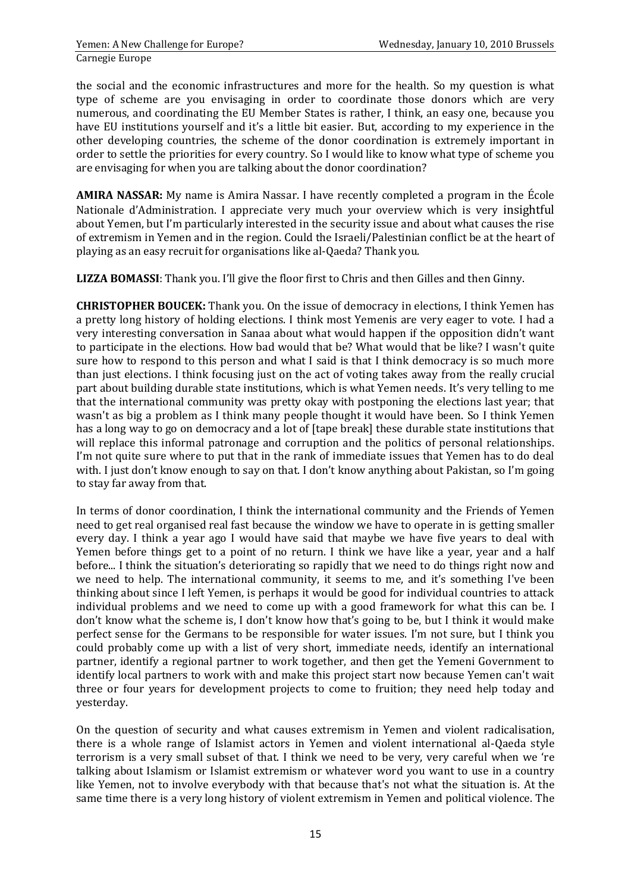the social and the economic infrastructures and more for the health. So my question is what type of scheme are you envisaging in order to coordinate those donors which are very numerous, and coordinating the EU Member States is rather, I think, an easy one, because you have EU institutions yourself and it's a little bit easier. But, according to my experience in the other developing countries, the scheme of the donor coordination is extremely important in order to settle the priorities for every country. So I would like to know what type of scheme you are envisaging for when you are talking about the donor coordination?

**AMIRA NASSAR:** My name is Amira Nassar. I have recently completed a program in the École Nationale d'Administration. I appreciate very much your overview which is very insightful about Yemen, but I'm particularly interested in the security issue and about what causes the rise of extremism in Yemen and in the region. Could the Israeli/Palestinian conflict be at the heart of playing as an easy recruit for organisations like al-Qaeda? Thank you.

**LIZZA BOMASSI**: Thank you. I'll give the floor first to Chris and then Gilles and then Ginny.

**CHRISTOPHER BOUCEK:** Thank you. On the issue of democracy in elections, I think Yemen has a pretty long history of holding elections. I think most Yemenis are very eager to vote. I had a very interesting conversation in Sanaa about what would happen if the opposition didn't want to participate in the elections. How bad would that be? What would that be like? I wasn't quite sure how to respond to this person and what I said is that I think democracy is so much more than just elections. I think focusing just on the act of voting takes away from the really crucial part about building durable state institutions, which is what Yemen needs. It's very telling to me that the international community was pretty okay with postponing the elections last year; that wasn't as big a problem as I think many people thought it would have been. So I think Yemen has a long way to go on democracy and a lot of [tape break] these durable state institutions that will replace this informal patronage and corruption and the politics of personal relationships. I'm not quite sure where to put that in the rank of immediate issues that Yemen has to do deal with. I just don't know enough to say on that. I don't know anything about Pakistan, so I'm going to stay far away from that.

In terms of donor coordination, I think the international community and the Friends of Yemen need to get real organised real fast because the window we have to operate in is getting smaller every day. I think a year ago I would have said that maybe we have five years to deal with Yemen before things get to a point of no return. I think we have like a year, year and a half before... I think the situation's deteriorating so rapidly that we need to do things right now and we need to help. The international community, it seems to me, and it's something I've been thinking about since I left Yemen, is perhaps it would be good for individual countries to attack individual problems and we need to come up with a good framework for what this can be. I don't know what the scheme is, I don't know how that's going to be, but I think it would make perfect sense for the Germans to be responsible for water issues. I'm not sure, but I think you could probably come up with a list of very short, immediate needs, identify an international partner, identify a regional partner to work together, and then get the Yemeni Government to identify local partners to work with and make this project start now because Yemen can't wait three or four years for development projects to come to fruition; they need help today and yesterday.

On the question of security and what causes extremism in Yemen and violent radicalisation, there is a whole range of Islamist actors in Yemen and violent international al-Qaeda style terrorism is a very small subset of that. I think we need to be very, very careful when we 're talking about Islamism or Islamist extremism or whatever word you want to use in a country like Yemen, not to involve everybody with that because that's not what the situation is. At the same time there is a very long history of violent extremism in Yemen and political violence. The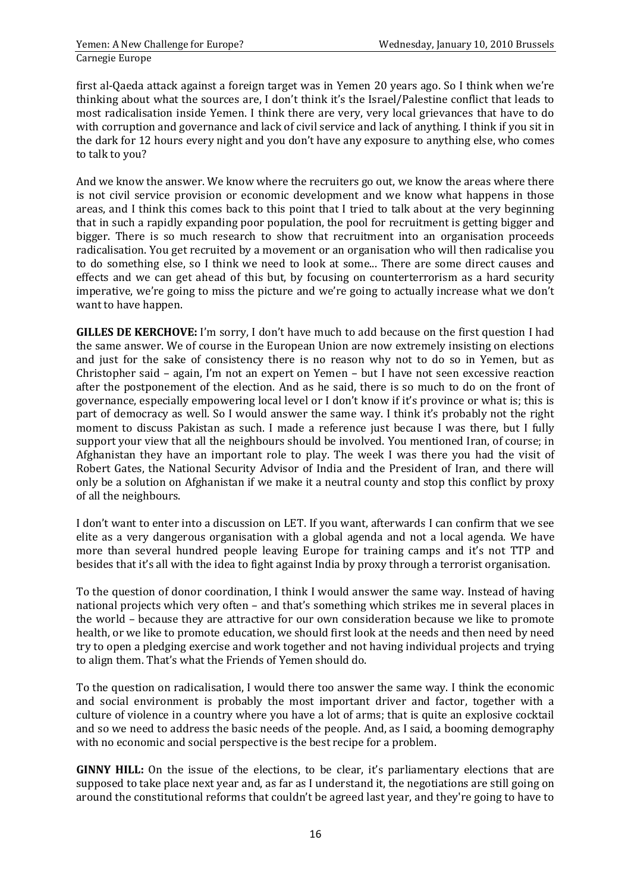first al-Qaeda attack against a foreign target was in Yemen 20 years ago. So I think when we're thinking about what the sources are, I don't think it's the Israel/Palestine conflict that leads to most radicalisation inside Yemen. I think there are very, very local grievances that have to do with corruption and governance and lack of civil service and lack of anything. I think if you sit in the dark for 12 hours every night and you don't have any exposure to anything else, who comes to talk to you?

And we know the answer. We know where the recruiters go out, we know the areas where there is not civil service provision or economic development and we know what happens in those areas, and I think this comes back to this point that I tried to talk about at the very beginning that in such a rapidly expanding poor population, the pool for recruitment is getting bigger and bigger. There is so much research to show that recruitment into an organisation proceeds radicalisation. You get recruited by a movement or an organisation who will then radicalise you to do something else, so I think we need to look at some... There are some direct causes and effects and we can get ahead of this but, by focusing on counterterrorism as a hard security imperative, we're going to miss the picture and we're going to actually increase what we don't want to have happen.

**GILLES DE KERCHOVE:** I'm sorry, I don't have much to add because on the first question I had the same answer. We of course in the European Union are now extremely insisting on elections and just for the sake of consistency there is no reason why not to do so in Yemen, but as Christopher said – again, I'm not an expert on Yemen – but I have not seen excessive reaction after the postponement of the election. And as he said, there is so much to do on the front of governance, especially empowering local level or I don't know if it's province or what is; this is part of democracy as well. So I would answer the same way. I think it's probably not the right moment to discuss Pakistan as such. I made a reference just because I was there, but I fully support your view that all the neighbours should be involved. You mentioned Iran, of course; in Afghanistan they have an important role to play. The week I was there you had the visit of Robert Gates, the National Security Advisor of India and the President of Iran, and there will only be a solution on Afghanistan if we make it a neutral county and stop this conflict by proxy of all the neighbours.

I don't want to enter into a discussion on LET. If you want, afterwards I can confirm that we see elite as a very dangerous organisation with a global agenda and not a local agenda. We have more than several hundred people leaving Europe for training camps and it's not TTP and besides that it's all with the idea to fight against India by proxy through a terrorist organisation.

To the question of donor coordination, I think I would answer the same way. Instead of having national projects which very often – and that's something which strikes me in several places in the world – because they are attractive for our own consideration because we like to promote health, or we like to promote education, we should first look at the needs and then need by need try to open a pledging exercise and work together and not having individual projects and trying to align them. That's what the Friends of Yemen should do.

To the question on radicalisation, I would there too answer the same way. I think the economic and social environment is probably the most important driver and factor, together with a culture of violence in a country where you have a lot of arms; that is quite an explosive cocktail and so we need to address the basic needs of the people. And, as I said, a booming demography with no economic and social perspective is the best recipe for a problem.

**GINNY HILL:** On the issue of the elections, to be clear, it's parliamentary elections that are supposed to take place next year and, as far as I understand it, the negotiations are still going on around the constitutional reforms that couldn't be agreed last year, and they're going to have to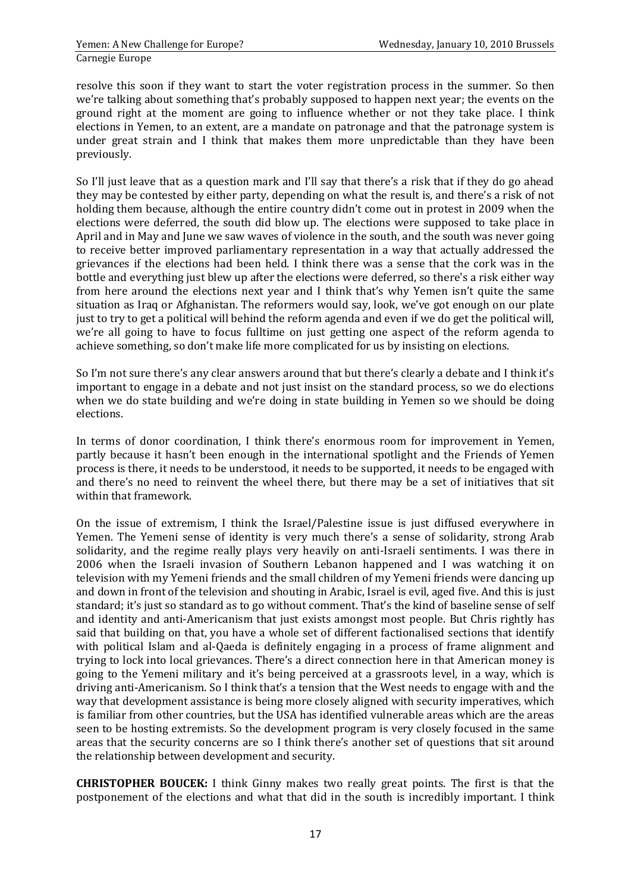resolve this soon if they want to start the voter registration process in the summer. So then we're talking about something that's probably supposed to happen next year; the events on the ground right at the moment are going to influence whether or not they take place. I think elections in Yemen, to an extent, are a mandate on patronage and that the patronage system is under great strain and I think that makes them more unpredictable than they have been previously.

So I'll just leave that as a question mark and I'll say that there's a risk that if they do go ahead they may be contested by either party, depending on what the result is, and there's a risk of not holding them because, although the entire country didn't come out in protest in 2009 when the elections were deferred, the south did blow up. The elections were supposed to take place in April and in May and June we saw waves of violence in the south, and the south was never going to receive better improved parliamentary representation in a way that actually addressed the grievances if the elections had been held. I think there was a sense that the cork was in the bottle and everything just blew up after the elections were deferred, so there's a risk either way from here around the elections next year and I think that's why Yemen isn't quite the same situation as Iraq or Afghanistan. The reformers would say, look, we've got enough on our plate just to try to get a political will behind the reform agenda and even if we do get the political will, we're all going to have to focus fulltime on just getting one aspect of the reform agenda to achieve something, so don't make life more complicated for us by insisting on elections.

So I'm not sure there's any clear answers around that but there's clearly a debate and I think it's important to engage in a debate and not just insist on the standard process, so we do elections when we do state building and we're doing in state building in Yemen so we should be doing elections.

In terms of donor coordination, I think there's enormous room for improvement in Yemen, partly because it hasn't been enough in the international spotlight and the Friends of Yemen process is there, it needs to be understood, it needs to be supported, it needs to be engaged with and there's no need to reinvent the wheel there, but there may be a set of initiatives that sit within that framework.

On the issue of extremism, I think the Israel/Palestine issue is just diffused everywhere in Yemen. The Yemeni sense of identity is very much there's a sense of solidarity, strong Arab solidarity, and the regime really plays very heavily on anti-Israeli sentiments. I was there in 2006 when the Israeli invasion of Southern Lebanon happened and I was watching it on television with my Yemeni friends and the small children of my Yemeni friends were dancing up and down in front of the television and shouting in Arabic, Israel is evil, aged five. And this is just standard; it's just so standard as to go without comment. That's the kind of baseline sense of self and identity and anti-Americanism that just exists amongst most people. But Chris rightly has said that building on that, you have a whole set of different factionalised sections that identify with political Islam and al-Qaeda is definitely engaging in a process of frame alignment and trying to lock into local grievances. There's a direct connection here in that American money is going to the Yemeni military and it's being perceived at a grassroots level, in a way, which is driving anti-Americanism. So I think that's a tension that the West needs to engage with and the way that development assistance is being more closely aligned with security imperatives, which is familiar from other countries, but the USA has identified vulnerable areas which are the areas seen to be hosting extremists. So the development program is very closely focused in the same areas that the security concerns are so I think there's another set of questions that sit around the relationship between development and security.

**CHRISTOPHER BOUCEK:** I think Ginny makes two really great points. The first is that the postponement of the elections and what that did in the south is incredibly important. I think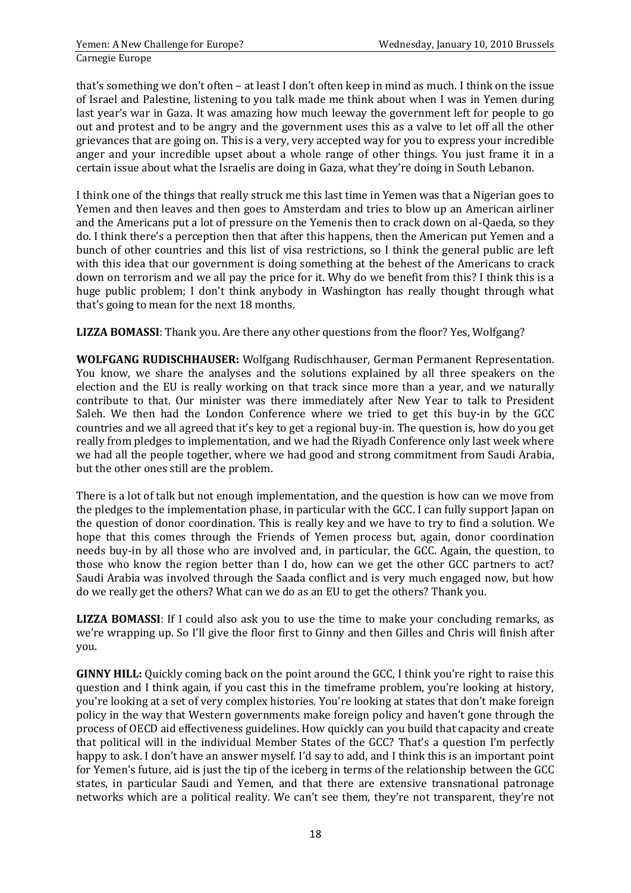that's something we don't often – at least I don't often keep in mind as much. I think on the issue of Israel and Palestine, listening to you talk made me think about when I was in Yemen during last year's war in Gaza. It was amazing how much leeway the government left for people to go out and protest and to be angry and the government uses this as a valve to let off all the other grievances that are going on. This is a very, very accepted way for you to express your incredible anger and your incredible upset about a whole range of other things. You just frame it in a certain issue about what the Israelis are doing in Gaza, what they're doing in South Lebanon.

I think one of the things that really struck me this last time in Yemen was that a Nigerian goes to Yemen and then leaves and then goes to Amsterdam and tries to blow up an American airliner and the Americans put a lot of pressure on the Yemenis then to crack down on al-Qaeda, so they do. I think there's a perception then that after this happens, then the American put Yemen and a bunch of other countries and this list of visa restrictions, so I think the general public are left with this idea that our government is doing something at the behest of the Americans to crack down on terrorism and we all pay the price for it. Why do we benefit from this? I think this is a huge public problem; I don't think anybody in Washington has really thought through what that's going to mean for the next 18 months.

**LIZZA BOMASSI**: Thank you. Are there any other questions from the floor? Yes, Wolfgang?

**WOLFGANG RUDISCHHAUSER:** Wolfgang Rudischhauser, German Permanent Representation. You know, we share the analyses and the solutions explained by all three speakers on the election and the EU is really working on that track since more than a year, and we naturally contribute to that. Our minister was there immediately after New Year to talk to President Saleh. We then had the London Conference where we tried to get this buy-in by the GCC countries and we all agreed that it's key to get a regional buy-in. The question is, how do you get really from pledges to implementation, and we had the Riyadh Conference only last week where we had all the people together, where we had good and strong commitment from Saudi Arabia, but the other ones still are the problem.

There is a lot of talk but not enough implementation, and the question is how can we move from the pledges to the implementation phase, in particular with the GCC. I can fully support Japan on the question of donor coordination. This is really key and we have to try to find a solution. We hope that this comes through the Friends of Yemen process but, again, donor coordination needs buy-in by all those who are involved and, in particular, the GCC. Again, the question, to those who know the region better than I do, how can we get the other GCC partners to act? Saudi Arabia was involved through the Saada conflict and is very much engaged now, but how do we really get the others? What can we do as an EU to get the others? Thank you.

**LIZZA BOMASSI**: If I could also ask you to use the time to make your concluding remarks, as we're wrapping up. So I'll give the floor first to Ginny and then Gilles and Chris will finish after you.

**GINNY HILL:** Quickly coming back on the point around the GCC, I think you're right to raise this question and I think again, if you cast this in the timeframe problem, you're looking at history, you're looking at a set of very complex histories. You're looking at states that don't make foreign policy in the way that Western governments make foreign policy and haven't gone through the process of OECD aid effectiveness guidelines. How quickly can you build that capacity and create that political will in the individual Member States of the GCC? That's a question I'm perfectly happy to ask. I don't have an answer myself. I'd say to add, and I think this is an important point for Yemen's future, aid is just the tip of the iceberg in terms of the relationship between the GCC states, in particular Saudi and Yemen, and that there are extensive transnational patronage networks which are a political reality. We can't see them, they're not transparent, they're not